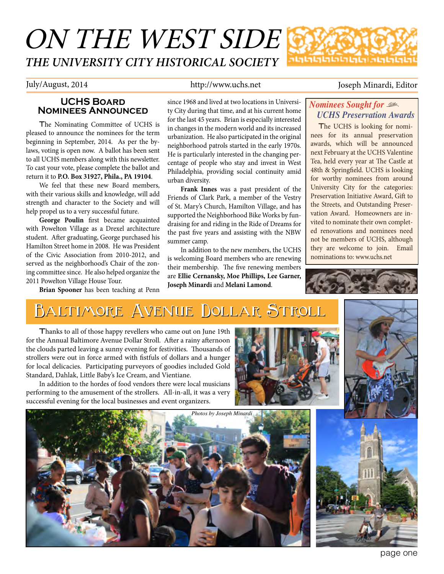# ON THE WEST SIDE *THE UNIVERSITY CITY HISTORICAL SOCIETY*

#### **UCHS Board Nominees Announced**

The Nominating Committee of UCHS is pleased to announce the nominees for the term beginning in September, 2014. As per the bylaws, voting is open now. A ballot has been sent to all UCHS members along with this newsletter. To cast your vote, please complete the ballot and return it to **P.O. Box 31927, Phila., PA 19104**.

We feel that these new Board members, with their various skills and knowledge, will add strength and character to the Society and will help propel us to a very successful future.

**George Poulin** first became acquainted with Powelton Village as a Drexel architecture student. After graduating, George purchased his Hamilton Street home in 2008. He was President of the Civic Association from 2010-2012, and served as the neighborhood's Chair of the zoning committee since. He also helped organize the 2011 Powelton Village House Tour.

**Brian Spooner** has been teaching at Penn

since 1968 and lived at two locations in University City during that time, and at his current home for the last 45 years. Brian is especially interested in changes in the modern world and its increased urbanization. He also participated in the original neighborhood patrols started in the early 1970s. He is particularly interested in the changing percentage of people who stay and invest in West Philadelphia, providing social continuity amid

**Frank Innes** was a past president of the Friends of Clark Park, a member of the Vestry of St. Mary's Church, Hamilton Village, and has supported the Neighborhood Bike Works by fundraising for and riding in the Ride of Dreams for the past five years and assisting with the NBW

In addition to the new members, the UCHS is welcoming Board members who are renewing

**Joseph Minardi** and **Melani Lamond**.

July/August, 2014 http://www.uchs.net Joseph Minardi, Editor

#### *Nominees Sought for* , *UCHS Preservation Awards*

The UCHS is looking for nominees for its annual preservation awards, which will be announced next February at the UCHS Valentine Tea, held every year at The Castle at 48th & Springfield. UCHS is looking for worthy nominees from around University City for the categories: Preservation Initiative Award, Gift to the Streets, and Outstanding Preservation Award. Homeowners are invited to nominate their own completed renovations and nominees need not be members of UCHS, although they are welcome to join. Email nominations to: www.uchs.net



## **Baltimore Avenue Dollar Stroll Baltimore Avenue Dollar Stroll**

urban diversity.

summer camp.

Thanks to all of those happy revellers who came out on June 19th for the Annual Baltimore Avenue Dollar Stroll. After a rainy afternoon the clouds parted leaving a sunny evening for festivities. Thousands of strollers were out in force armed with fistfuls of dollars and a hunger for local delicacies. Participating purveyors of goodies included Gold Standard, Dahlak, Little Baby's Ice Cream, and Vientiane.

In addition to the hordes of food vendors there were local musicians performing to the amusement of the strollers. All-in-all, it was a very successful evening for the local businesses and event organizers.





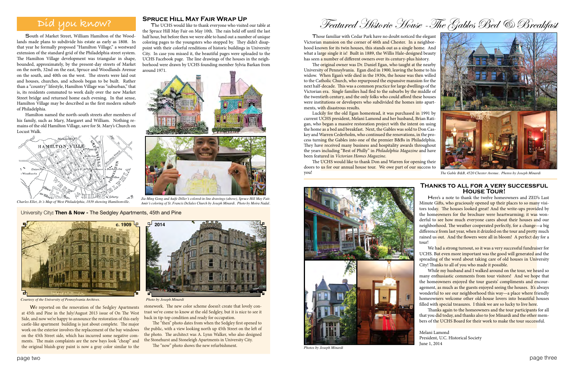We reported on the renovation of the Sedgley Apartments at 45th and Pine in the July/August 2013 issue of On The West Side, and now we're happy to announce the restoration of this early castle-like apartment building is just about complete. The major work on the exterior involves the replacement of the bay windows on the 45th Street side, which has incurred some negative comments. The main complaints are the new bays look "cheap" and the original bluish-gray paint is now a gray color similar to the

stonework. The new color scheme doesn't create that lovely contrast we've come to know at the old Sedgley, but it is nice to see it back in tip-top condition and ready for occupation.

The "then" photo dates from when the Sedgley first opened to the public, with a view looking north up 45th Street on the left of the photo. The architect was A. Lynn Walker, who also designed the Stonehurst and Stoneleigh Apartments in University City.

The "now" photo shows the new refurbishment.

The original owner was Dr. Daniel Egan, who taught at the nearby University of Pennsylvania. Egan died in 1900, leaving the home to his widow. When Egan's wife died in the 1930s, the house was then willed to the Catholic Church, who repurposed the expansive mansion for the next half-decade. This was a common practice for large dwellings of the Victorian era. Single families had fled to the suburbs by the middle of the twentieth century, and the only folks who could afford these houses were institutions or developers who subdivided the homes into apartments, with disastrous results.

Featured Historic House -The Gables Bed & Breakfast

Those familiar with Cedar Park have no doubt noticed the elegant Victorian mansion on the corner of 46th and Chester. In a neighborhood known for its twin houses, this stands out as a single home. And what a large single it is! Built in 1889, the Willis Hale-designed beauty has seen a number of different owners over its century-plus history.

The UCHS would like to thank Don and Warren for opening their doors to us for our annual house tour. We owe part of our success to you!



Luckily for the old Egan homestead, it was purchased in 1991 by current UCHS president, Melani Lamond and her husband, Brian Ratigan, who began a massive restoration project with the intent on using the home as a bed and breakfast. Next, the Gables was sold to Don Caskey and Warren Cederholm, who continued the renovations, in the process turning the Gables into one of the premier B&Bs in Philadelphia. They have received many business and hospitality awards throughout the years including "Best of Philly" in *Philadelphia Magazine* and have been featured in *Victorian Homes Magazine*.

> We had a strong turnout, so it was a very successful fundraiser for UCHS. But even more important was the good will generated and the spreading of the word about taking care of old houses in University City! Thanks to all of you who made it possible.

> While my husband and I walked around on the tour, we heard so many enthusiastic comments from tour visitors! And we hope that the homeowners enjoyed the tour guests' compliments and encouragement, as much as the guests enjoyed seeing the houses. It's always wonderful to see our neighborhood this way—a place where friendly homeowners welcome other old-house lovers into beautiful houses filled with special treasures. I think we are so lucky to live here.

### **Did you know?**

Thanks again to the homeowners and the tour participants for all that you did today, and thanks also to Joe Minardi and the other members of the UCHS Board for their work to make the tour successful.



يتحصد *Charles Ellet, Jr.'s Map of West Philadelphia, 1839 showing Hamiltonville.*

South of Market Street, William Hamilton of the Woodlands made plans to subdivide his estate as early as 1808. In that year he formally proposed "Hamilton Village," a westward extension of the standard grid of the Philadelphia street system. The Hamilton Village development was triangular in shape, bounded, approximately, by the present-day streets of Market on the north, 32nd on the east, Spruce and Woodlands Avenue on the south, and 40th on the west. The streets were laid out and houses, churches, and schools began to be built. Rather than a "country" lifestyle, Hamilton Village was "suburban," that is, its residents commuted to work daily over the new Market Street bridge and returned home each evening. In that sense, Hamilton Village may be described as the first modern suburb of Philadelphia.

Hamilton named the north-south streets after members of his family, such as Mary, Margaret and William. Nothing remains of the old Hamilton Village, save for St. Mary's Church on Locust Walk.

> *Jia-Ming Gong and Auife Diller's colored-in line drawings (above), Spruce Hill May Fair. Amir's coloring of St. Francis DeSales Church by Joseph Minardi. Photo by Moira Nadal.*



*Courtesy of the University of Pennsylvania Archives. Photo by Joseph Minardi*

#### University City**: Then & Now -** The Sedgley Apartments, 45th and Pine

#### **Thanks to all for a very successful House Tour!**

Here's a note to thank the twelve homeowners and ZED's Last Minute Gifts, who graciously opened up their places to so many visitors today. The houses looked great! And the write-ups provided by the homeowners for the brochure were heartwarming; it was wonderful to see how much everyone cares about their houses and our neighborhood. The weather cooperated perfectly, for a change—a big difference from last year, when it drizzled on the tour and pretty much rained us out. And the flowers were all in bloom! A perfect day for a tour!

Melani Lamond President, U.C. Historical Society June 1, 2014



*The Gable B&B, 4520 Chester Avenue. Photos by Joseph Minardi*



#### **Spruce Hill May Fair Wrap Up**

The UCHS would like to thank everyone who visited our table at the Spruce Hill May Fair on May 10th. The rain held off until the last half hour, but before then we were able to hand out a number of unique coloring pages to the youngsters who stopped by. They didn't disappoint with their colorful renditions of historic buildings in University City. In case you missed it, the beautiful pages were uploaded to the UCHS Facebook page. The line drawings of the houses in the neighborhood were drawn by UCHS founding member Sylvia Barkan from around 1971.



*Photos by Joseph Minardi*